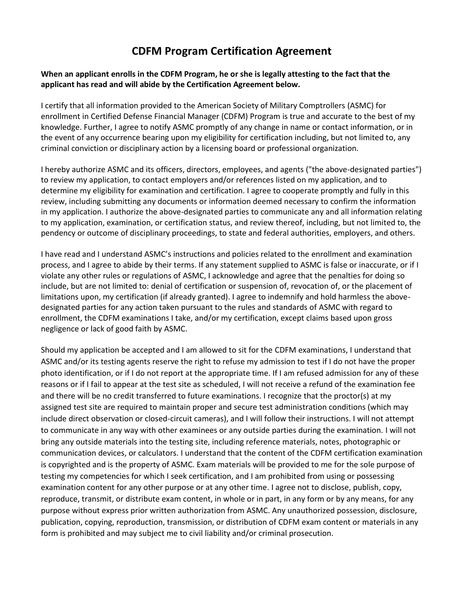## **CDFM Program Certification Agreement**

## **When an applicant enrolls in the CDFM Program, he or she is legally attesting to the fact that the applicant has read and will abide by the Certification Agreement below.**

I certify that all information provided to the American Society of Military Comptrollers (ASMC) for enrollment in Certified Defense Financial Manager (CDFM) Program is true and accurate to the best of my knowledge. Further, I agree to notify ASMC promptly of any change in name or contact information, or in the event of any occurrence bearing upon my eligibility for certification including, but not limited to, any criminal conviction or disciplinary action by a licensing board or professional organization.

I hereby authorize ASMC and its officers, directors, employees, and agents ("the above-designated parties") to review my application, to contact employers and/or references listed on my application, and to determine my eligibility for examination and certification. I agree to cooperate promptly and fully in this review, including submitting any documents or information deemed necessary to confirm the information in my application. I authorize the above-designated parties to communicate any and all information relating to my application, examination, or certification status, and review thereof, including, but not limited to, the pendency or outcome of disciplinary proceedings, to state and federal authorities, employers, and others.

I have read and I understand ASMC's instructions and policies related to the enrollment and examination process, and I agree to abide by their terms. If any statement supplied to ASMC is false or inaccurate, or if I violate any other rules or regulations of ASMC, I acknowledge and agree that the penalties for doing so include, but are not limited to: denial of certification or suspension of, revocation of, or the placement of limitations upon, my certification (if already granted). I agree to indemnify and hold harmless the abovedesignated parties for any action taken pursuant to the rules and standards of ASMC with regard to enrollment, the CDFM examinations I take, and/or my certification, except claims based upon gross negligence or lack of good faith by ASMC.

Should my application be accepted and I am allowed to sit for the CDFM examinations, I understand that ASMC and/or its testing agents reserve the right to refuse my admission to test if I do not have the proper photo identification, or if I do not report at the appropriate time. If I am refused admission for any of these reasons or if I fail to appear at the test site as scheduled, I will not receive a refund of the examination fee and there will be no credit transferred to future examinations. I recognize that the proctor(s) at my assigned test site are required to maintain proper and secure test administration conditions (which may include direct observation or closed-circuit cameras), and I will follow their instructions. I will not attempt to communicate in any way with other examinees or any outside parties during the examination. I will not bring any outside materials into the testing site, including reference materials, notes, photographic or communication devices, or calculators. I understand that the content of the CDFM certification examination is copyrighted and is the property of ASMC. Exam materials will be provided to me for the sole purpose of testing my competencies for which I seek certification, and I am prohibited from using or possessing examination content for any other purpose or at any other time. I agree not to disclose, publish, copy, reproduce, transmit, or distribute exam content, in whole or in part, in any form or by any means, for any purpose without express prior written authorization from ASMC. Any unauthorized possession, disclosure, publication, copying, reproduction, transmission, or distribution of CDFM exam content or materials in any form is prohibited and may subject me to civil liability and/or criminal prosecution.